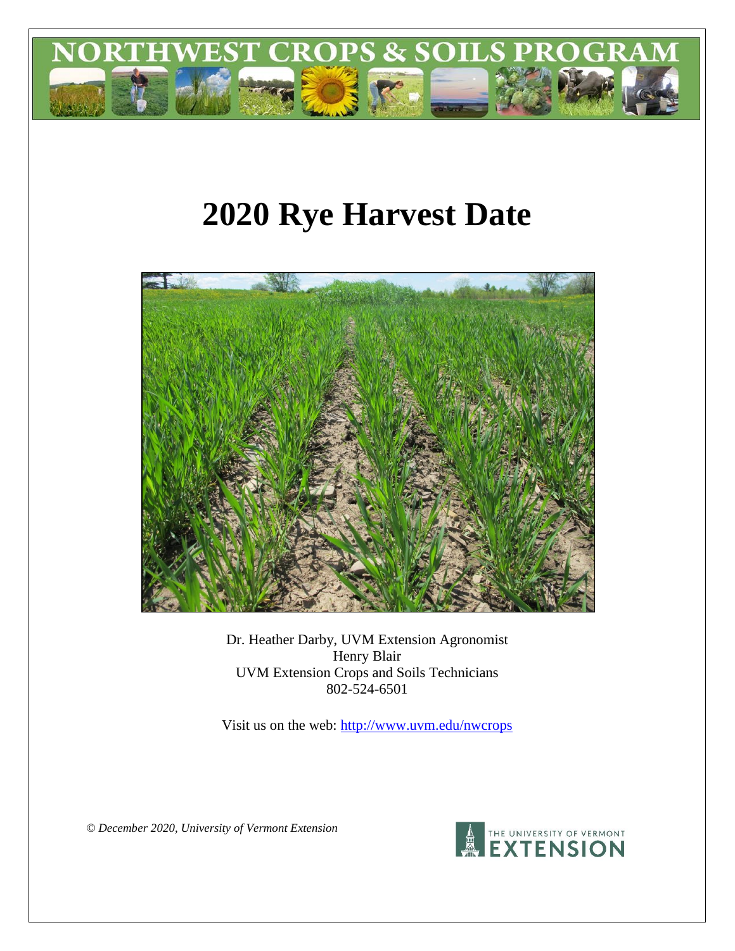

# **2020 Rye Harvest Date**



Dr. Heather Darby, UVM Extension Agronomist Henry Blair UVM Extension Crops and Soils Technicians 802-524-6501

Visit us on the web: <http://www.uvm.edu/nwcrops>

*© December 2020, University of Vermont Extension*

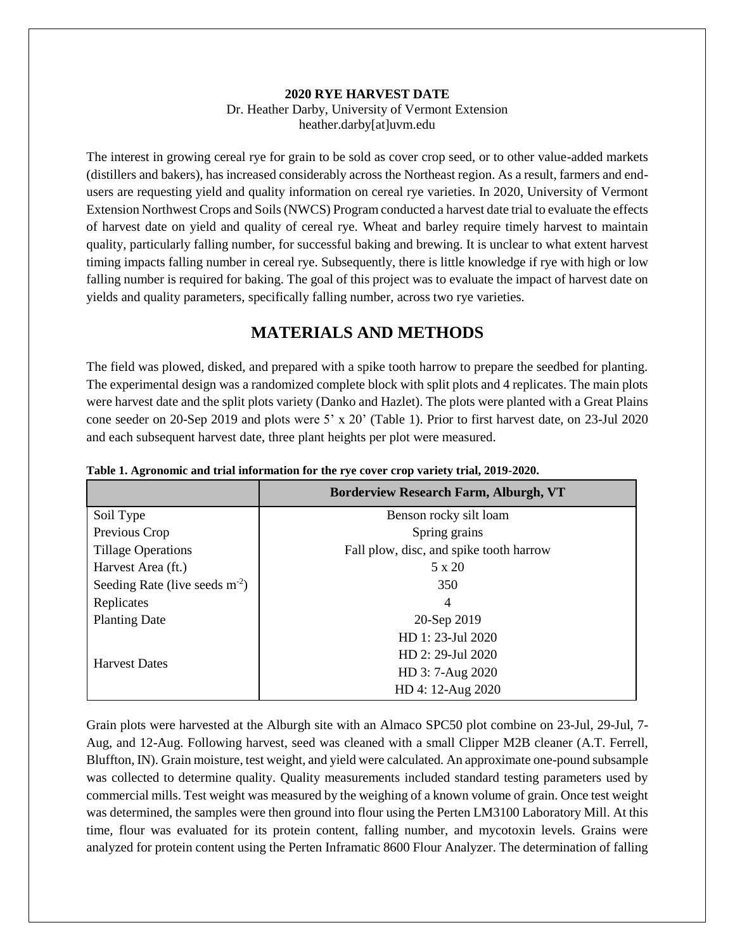#### **2020 RYE HARVEST DATE** Dr. Heather Darby, University of Vermont Extension heather.darby[at]uvm.edu

The interest in growing cereal rye for grain to be sold as cover crop seed, or to other value-added markets (distillers and bakers), has increased considerably across the Northeast region. As a result, farmers and endusers are requesting yield and quality information on cereal rye varieties. In 2020, University of Vermont Extension Northwest Crops and Soils (NWCS) Program conducted a harvest date trial to evaluate the effects of harvest date on yield and quality of cereal rye. Wheat and barley require timely harvest to maintain quality, particularly falling number, for successful baking and brewing. It is unclear to what extent harvest timing impacts falling number in cereal rye. Subsequently, there is little knowledge if rye with high or low falling number is required for baking. The goal of this project was to evaluate the impact of harvest date on yields and quality parameters, specifically falling number, across two rye varieties.

## **MATERIALS AND METHODS**

The field was plowed, disked, and prepared with a spike tooth harrow to prepare the seedbed for planting. The experimental design was a randomized complete block with split plots and 4 replicates. The main plots were harvest date and the split plots variety (Danko and Hazlet). The plots were planted with a Great Plains cone seeder on 20-Sep 2019 and plots were 5' x 20' (Table 1). Prior to first harvest date, on 23-Jul 2020 and each subsequent harvest date, three plant heights per plot were measured.

|                                  | <b>Borderview Research Farm, Alburgh, VT</b> |
|----------------------------------|----------------------------------------------|
| Soil Type                        | Benson rocky silt loam                       |
| Previous Crop                    | Spring grains                                |
| <b>Tillage Operations</b>        | Fall plow, disc, and spike tooth harrow      |
| Harvest Area (ft.)               | 5 x 20                                       |
| Seeding Rate (live seeds $m-2$ ) | 350                                          |
| Replicates                       | 4                                            |
| <b>Planting Date</b>             | 20-Sep 2019                                  |
|                                  | HD 1: 23-Jul 2020                            |
| <b>Harvest Dates</b>             | HD 2: 29-Jul 2020                            |
|                                  | HD 3: 7-Aug 2020                             |
|                                  | HD 4: 12-Aug 2020                            |

**Table 1. Agronomic and trial information for the rye cover crop variety trial, 2019-2020.**

Grain plots were harvested at the Alburgh site with an Almaco SPC50 plot combine on 23-Jul, 29-Jul, 7- Aug, and 12-Aug. Following harvest, seed was cleaned with a small Clipper M2B cleaner (A.T. Ferrell, Bluffton, IN). Grain moisture, test weight, and yield were calculated. An approximate one-pound subsample was collected to determine quality. Quality measurements included standard testing parameters used by commercial mills. Test weight was measured by the weighing of a known volume of grain. Once test weight was determined, the samples were then ground into flour using the Perten LM3100 Laboratory Mill. At this time, flour was evaluated for its protein content, falling number, and mycotoxin levels. Grains were analyzed for protein content using the Perten Inframatic 8600 Flour Analyzer. The determination of falling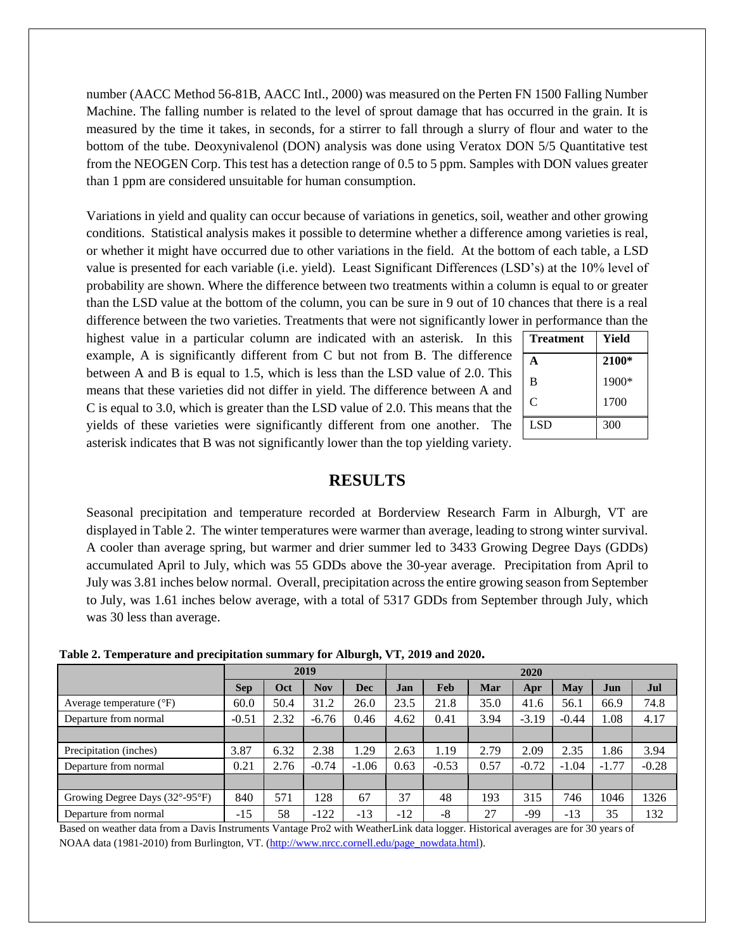number (AACC Method 56-81B, AACC Intl., 2000) was measured on the Perten FN 1500 Falling Number Machine. The falling number is related to the level of sprout damage that has occurred in the grain. It is measured by the time it takes, in seconds, for a stirrer to fall through a slurry of flour and water to the bottom of the tube. Deoxynivalenol (DON) analysis was done using Veratox DON 5/5 Quantitative test from the NEOGEN Corp. This test has a detection range of 0.5 to 5 ppm. Samples with DON values greater than 1 ppm are considered unsuitable for human consumption.

Variations in yield and quality can occur because of variations in genetics, soil, weather and other growing conditions. Statistical analysis makes it possible to determine whether a difference among varieties is real, or whether it might have occurred due to other variations in the field. At the bottom of each table, a LSD value is presented for each variable (i.e. yield). Least Significant Differences (LSD's) at the 10% level of probability are shown. Where the difference between two treatments within a column is equal to or greater than the LSD value at the bottom of the column, you can be sure in 9 out of 10 chances that there is a real difference between the two varieties. Treatments that were not significantly lower in

highest value in a particular column are indicated with an asterisk. In this example, A is significantly different from C but not from B. The difference between A and B is equal to 1.5, which is less than the LSD value of 2.0. This means that these varieties did not differ in yield. The difference between A and C is equal to 3.0, which is greater than the LSD value of 2.0. This means that the yields of these varieties were significantly different from one another. The asterisk indicates that B was not significantly lower than the top yielding variety.

| <b>Treatment</b> | Yield |
|------------------|-------|
| A                | 2100* |
| B                | 1900* |
| $\mathsf{C}$     | 1700  |
| <b>LSD</b>       | 300   |

### **RESULTS**

Seasonal precipitation and temperature recorded at Borderview Research Farm in Alburgh, VT are displayed in Table 2. The winter temperatures were warmer than average, leading to strong winter survival. A cooler than average spring, but warmer and drier summer led to 3433 Growing Degree Days (GDDs) accumulated April to July, which was 55 GDDs above the 30-year average. Precipitation from April to July was 3.81 inches below normal. Overall, precipitation across the entire growing season from September to July, was 1.61 inches below average, with a total of 5317 GDDs from September through July, which was 30 less than average.

**Table 2. Temperature and precipitation summary for Alburgh, VT, 2019 and 2020.**

|                                                     |            | 2019 |            |            | 2020  |         |      |         |         |         |         |
|-----------------------------------------------------|------------|------|------------|------------|-------|---------|------|---------|---------|---------|---------|
|                                                     | <b>Sep</b> | Oct  | <b>Nov</b> | <b>Dec</b> | Jan   | Feb     | Mar  | Apr     | May     | Jun     | Jul     |
| Average temperature $(^{\circ}F)$                   | 60.0       | 50.4 | 31.2       | 26.0       | 23.5  | 21.8    | 35.0 | 41.6    | 56.1    | 66.9    | 74.8    |
| Departure from normal                               | $-0.51$    | 2.32 | $-6.76$    | 0.46       | 4.62  | 0.41    | 3.94 | $-3.19$ | $-0.44$ | 1.08    | 4.17    |
|                                                     |            |      |            |            |       |         |      |         |         |         |         |
| Precipitation (inches)                              | 3.87       | 6.32 | 2.38       | 1.29       | 2.63  | 1.19    | 2.79 | 2.09    | 2.35    | 1.86    | 3.94    |
| Departure from normal                               | 0.21       | 2.76 | $-0.74$    | $-1.06$    | 0.63  | $-0.53$ | 0.57 | $-0.72$ | $-1.04$ | $-1.77$ | $-0.28$ |
|                                                     |            |      |            |            |       |         |      |         |         |         |         |
| Growing Degree Days $(32^{\circ}$ -95 $^{\circ}$ F) | 840        | 571  | 128        | 67         | 37    | 48      | 193  | 315     | 746     | 1046    | 1326    |
| Departure from normal                               | $-15$      | 58   | $-122$     | $-13$      | $-12$ | $-8$    | 27   | -99     | $-13$   | 35      | 132     |

Based on weather data from a Davis Instruments Vantage Pro2 with WeatherLink data logger. Historical averages are for 30 years of NOAA data (1981-2010) from Burlington, VT. [\(http://www.nrcc.cornell.edu/page\\_nowdata.html\)](http://www.nrcc.cornell.edu/page_nowdata.html).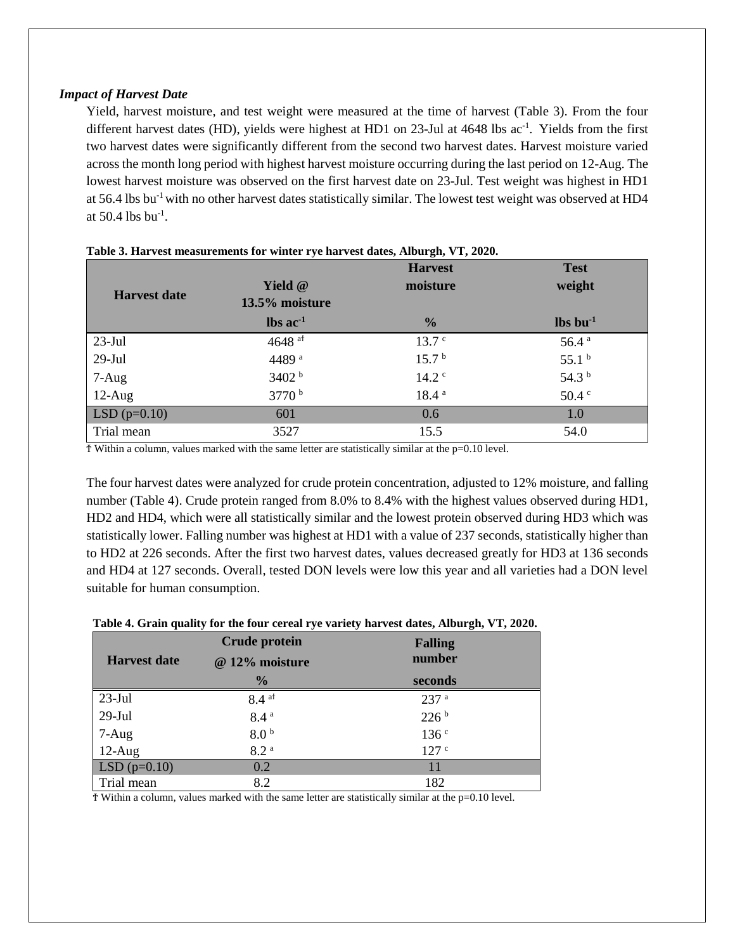#### *Impact of Harvest Date*

Yield, harvest moisture, and test weight were measured at the time of harvest (Table 3). From the four different harvest dates (HD), yields were highest at HD1 on 23-Jul at 4648 lbs ac<sup>-1</sup>. Yields from the first two harvest dates were significantly different from the second two harvest dates. Harvest moisture varied across the month long period with highest harvest moisture occurring during the last period on 12-Aug. The lowest harvest moisture was observed on the first harvest date on 23-Jul. Test weight was highest in HD1 at 56.4 lbs bu<sup>-1</sup> with no other harvest dates statistically similar. The lowest test weight was observed at HD4 at  $50.4$  lbs bu<sup>-1</sup>.

|                     |                               | <b>Harvest</b>    | <b>Test</b>                    |
|---------------------|-------------------------------|-------------------|--------------------------------|
|                     | Yield @                       | moisture          | weight                         |
| <b>Harvest date</b> | 13.5% moisture                |                   |                                |
|                     | $\text{lbs}$ ac <sup>-1</sup> | $\frac{0}{0}$     | $\mathbf{lbs}\mathbf{bu}^{-1}$ |
| $23$ -Jul           | 4648 $at$                     | 13.7 <sup>c</sup> | 56.4 <sup>a</sup>              |
| $29$ -Jul           | 4489 <sup>a</sup>             | 15.7 <sup>b</sup> | 55.1 <sup>b</sup>              |
| $7-Aug$             | 3402 b                        | 14.2 <sup>c</sup> | 54.3 <sup>b</sup>              |
| $12-Aug$            | 3770 <sup>b</sup>             | 18.4 <sup>a</sup> | $50.4 \text{°}$                |
| $LSD(p=0.10)$       | 601                           | 0.6               | 1.0                            |
| Trial mean          | 3527                          | 15.5              | 54.0                           |

| Table 3. Harvest measurements for winter rye harvest dates, Alburgh, VT, 2020. |  |  |
|--------------------------------------------------------------------------------|--|--|
|--------------------------------------------------------------------------------|--|--|

 $\overline{T}$  Within a column, values marked with the same letter are statistically similar at the p=0.10 level.

The four harvest dates were analyzed for crude protein concentration, adjusted to 12% moisture, and falling number (Table 4). Crude protein ranged from 8.0% to 8.4% with the highest values observed during HD1, HD2 and HD4, which were all statistically similar and the lowest protein observed during HD3 which was statistically lower. Falling number was highest at HD1 with a value of 237 seconds, statistically higher than to HD2 at 226 seconds. After the first two harvest dates, values decreased greatly for HD3 at 136 seconds and HD4 at 127 seconds. Overall, tested DON levels were low this year and all varieties had a DON level suitable for human consumption.

|                     | <b>Crude protein</b> | <b>Falling</b>   |
|---------------------|----------------------|------------------|
| <b>Harvest date</b> | @ 12% moisture       | number           |
|                     | $\frac{0}{0}$        | seconds          |
| $23$ -Jul           | $8.4$ at             | 237 <sup>a</sup> |
| $29$ -Jul           | 8.4 <sup>a</sup>     | 226 <sup>b</sup> |
| 7-Aug               | 8.0 <sup>b</sup>     | 136 <sup>c</sup> |
| $12-Aug$            | 8.2 <sup>a</sup>     | 127 <sup>c</sup> |
| $LSD(p=0.10)$       | 0.2                  |                  |
| Trial mean          | 8.2                  | 182              |

**Table 4. Grain quality for the four cereal rye variety harvest dates, Alburgh, VT, 2020.**

Ϯ Within a column, values marked with the same letter are statistically similar at the p=0.10 level.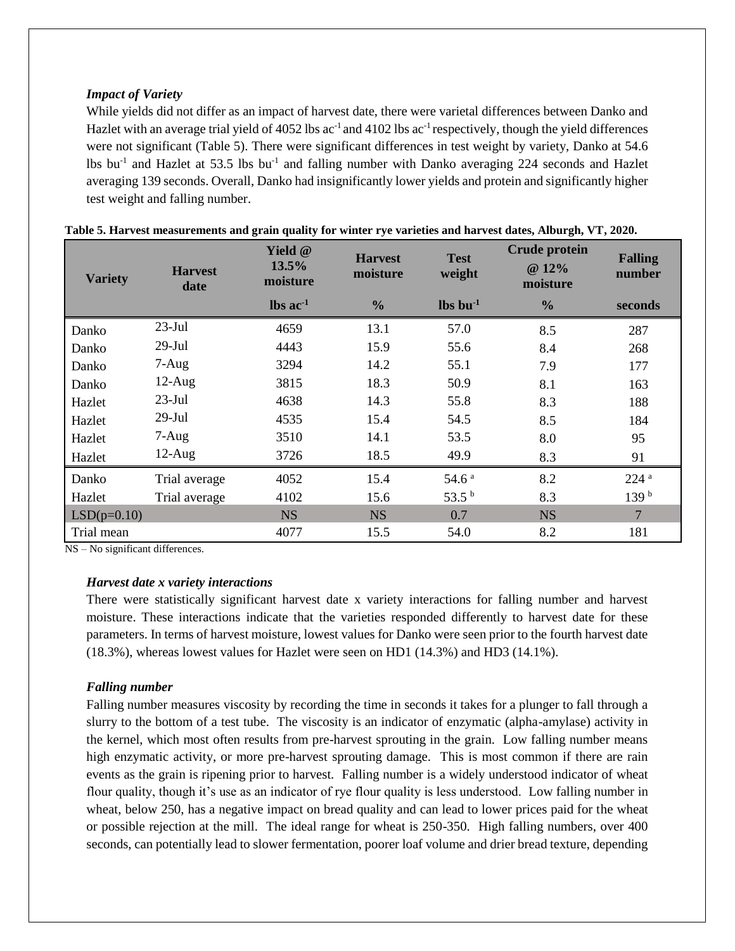#### *Impact of Variety*

While yields did not differ as an impact of harvest date, there were varietal differences between Danko and Hazlet with an average trial yield of 4052 lbs  $ac^{-1}$  and 4102 lbs  $ac^{-1}$  respectively, though the yield differences were not significant (Table 5). There were significant differences in test weight by variety, Danko at 54.6 lbs bu<sup>-1</sup> and Hazlet at 53.5 lbs bu<sup>-1</sup> and falling number with Danko averaging 224 seconds and Hazlet averaging 139 seconds. Overall, Danko had insignificantly lower yields and protein and significantly higher test weight and falling number.

| <b>Variety</b> | <b>Harvest</b><br>date | Yield $@$<br>13.5%<br>moisture | <b>Harvest</b><br>moisture | <b>Test</b><br>weight          | <b>Crude protein</b><br>@ 12%<br>moisture | <b>Falling</b><br>number |
|----------------|------------------------|--------------------------------|----------------------------|--------------------------------|-------------------------------------------|--------------------------|
|                |                        | $\text{lbs}$ ac <sup>-1</sup>  | $\frac{0}{0}$              | $\mathbf{lbs}\mathbf{bu}^{-1}$ | $\frac{6}{6}$                             | seconds                  |
| Danko          | $23$ -Jul              | 4659                           | 13.1                       | 57.0                           | 8.5                                       | 287                      |
| Danko          | $29-Jul$               | 4443                           | 15.9                       | 55.6                           | 8.4                                       | 268                      |
| Danko          | $7 - Aug$              | 3294                           | 14.2                       | 55.1                           | 7.9                                       | 177                      |
| Danko          | $12-Aug$               | 3815                           | 18.3                       | 50.9                           | 8.1                                       | 163                      |
| Hazlet         | $23$ -Jul              | 4638                           | 14.3                       | 55.8                           | 8.3                                       | 188                      |
| Hazlet         | $29-Jul$               | 4535                           | 15.4                       | 54.5                           | 8.5                                       | 184                      |
| Hazlet         | $7 - Aug$              | 3510                           | 14.1                       | 53.5                           | 8.0                                       | 95                       |
| Hazlet         | $12$ -Aug              | 3726                           | 18.5                       | 49.9                           | 8.3                                       | 91                       |
| Danko          | Trial average          | 4052                           | 15.4                       | 54.6 <sup>a</sup>              | 8.2                                       | 224 <sup>a</sup>         |
| Hazlet         | Trial average          | 4102                           | 15.6                       | 53.5 $^{\rm b}$                | 8.3                                       | 139 <sup>b</sup>         |
| $LSD(p=0.10)$  |                        | <b>NS</b>                      | <b>NS</b>                  | 0.7                            | <b>NS</b>                                 | $\overline{7}$           |
| Trial mean     |                        | 4077                           | 15.5                       | 54.0                           | 8.2                                       | 181                      |

| Table 5. Harvest measurements and grain quality for winter rye varieties and harvest dates, Alburgh, VT, 2020. |  |  |  |  |  |
|----------------------------------------------------------------------------------------------------------------|--|--|--|--|--|
|----------------------------------------------------------------------------------------------------------------|--|--|--|--|--|

NS – No significant differences.

#### *Harvest date x variety interactions*

There were statistically significant harvest date x variety interactions for falling number and harvest moisture. These interactions indicate that the varieties responded differently to harvest date for these parameters. In terms of harvest moisture, lowest values for Danko were seen prior to the fourth harvest date (18.3%), whereas lowest values for Hazlet were seen on HD1 (14.3%) and HD3 (14.1%).

#### *Falling number*

Falling number measures viscosity by recording the time in seconds it takes for a plunger to fall through a slurry to the bottom of a test tube. The viscosity is an indicator of enzymatic (alpha-amylase) activity in the kernel, which most often results from pre-harvest sprouting in the grain. Low falling number means high enzymatic activity, or more pre-harvest sprouting damage. This is most common if there are rain events as the grain is ripening prior to harvest. Falling number is a widely understood indicator of wheat flour quality, though it's use as an indicator of rye flour quality is less understood. Low falling number in wheat, below 250, has a negative impact on bread quality and can lead to lower prices paid for the wheat or possible rejection at the mill. The ideal range for wheat is 250-350. High falling numbers, over 400 seconds, can potentially lead to slower fermentation, poorer loaf volume and drier bread texture, depending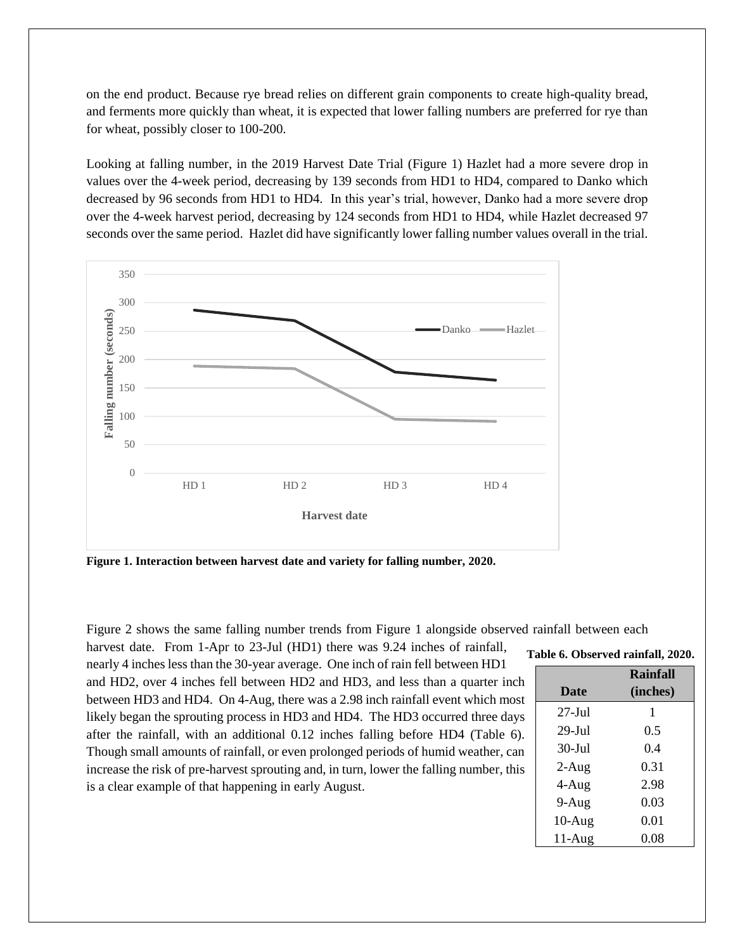on the end product. Because rye bread relies on different grain components to create high-quality bread, and ferments more quickly than wheat, it is expected that lower falling numbers are preferred for rye than for wheat, possibly closer to 100-200.

Looking at falling number, in the 2019 Harvest Date Trial (Figure 1) Hazlet had a more severe drop in values over the 4-week period, decreasing by 139 seconds from HD1 to HD4, compared to Danko which decreased by 96 seconds from HD1 to HD4. In this year's trial, however, Danko had a more severe drop over the 4-week harvest period, decreasing by 124 seconds from HD1 to HD4, while Hazlet decreased 97 seconds over the same period. Hazlet did have significantly lower falling number values overall in the trial.



**Figure 1. Interaction between harvest date and variety for falling number, 2020.**

Figure 2 shows the same falling number trends from Figure 1 alongside observed rainfall between each harvest date. From 1-Apr to 23-Jul (HD1) there was 9.24 inches of rainfall,

nearly 4 inches less than the 30-year average. One inch of rain fell between HD1 and HD2, over 4 inches fell between HD2 and HD3, and less than a quarter inch between HD3 and HD4. On 4-Aug, there was a 2.98 inch rainfall event which most likely began the sprouting process in HD3 and HD4. The HD3 occurred three days after the rainfall, with an additional 0.12 inches falling before HD4 (Table 6). Though small amounts of rainfall, or even prolonged periods of humid weather, can increase the risk of pre-harvest sprouting and, in turn, lower the falling number, this is a clear example of that happening in early August.

|  | Table 6. Observed rainfall, 2020. |  |  |
|--|-----------------------------------|--|--|
|--|-----------------------------------|--|--|

| <b>Date</b>       | Rainfall<br>(inches) |
|-------------------|----------------------|
| $27 -$ Jul        | 1                    |
| $29 - \text{Jul}$ | 0.5                  |
| $30-Jul$          | 0.4                  |
| $2-Aug$           | 0.31                 |
| $4-Aug$           | 2.98                 |
| $9-Aug$           | 0.03                 |
| $10-Aug$          | 0.01                 |
| $11-Aug$          | 0.08                 |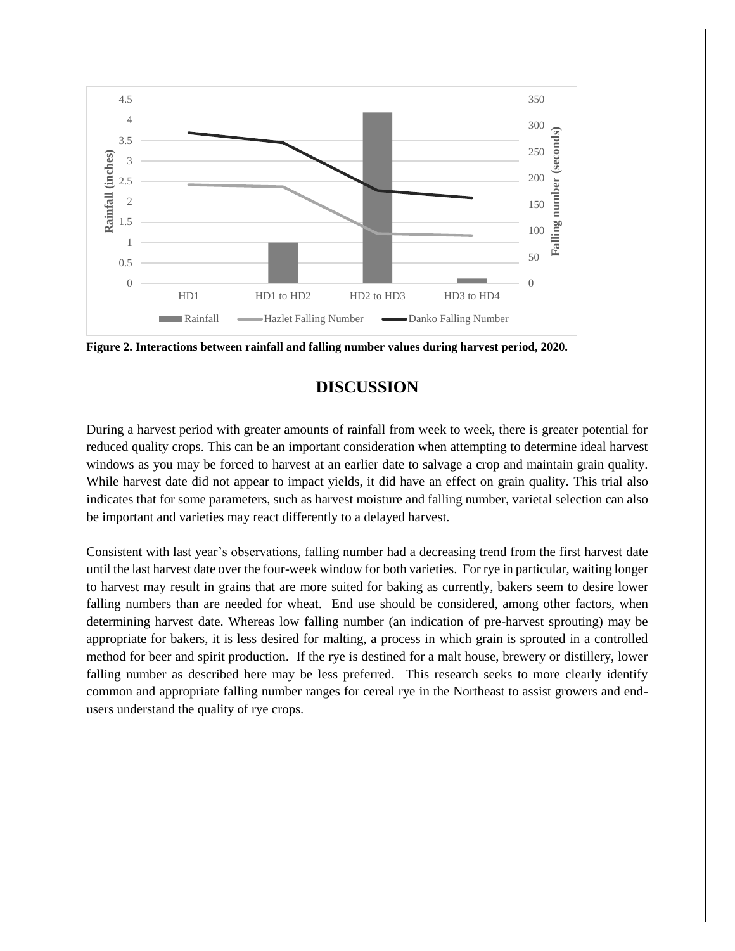

**Figure 2. Interactions between rainfall and falling number values during harvest period, 2020.**

## **DISCUSSION**

During a harvest period with greater amounts of rainfall from week to week, there is greater potential for reduced quality crops. This can be an important consideration when attempting to determine ideal harvest windows as you may be forced to harvest at an earlier date to salvage a crop and maintain grain quality. While harvest date did not appear to impact yields, it did have an effect on grain quality. This trial also indicates that for some parameters, such as harvest moisture and falling number, varietal selection can also be important and varieties may react differently to a delayed harvest.

Consistent with last year's observations, falling number had a decreasing trend from the first harvest date until the last harvest date over the four-week window for both varieties. For rye in particular, waiting longer to harvest may result in grains that are more suited for baking as currently, bakers seem to desire lower falling numbers than are needed for wheat. End use should be considered, among other factors, when determining harvest date. Whereas low falling number (an indication of pre-harvest sprouting) may be appropriate for bakers, it is less desired for malting, a process in which grain is sprouted in a controlled method for beer and spirit production. If the rye is destined for a malt house, brewery or distillery, lower falling number as described here may be less preferred. This research seeks to more clearly identify common and appropriate falling number ranges for cereal rye in the Northeast to assist growers and endusers understand the quality of rye crops.